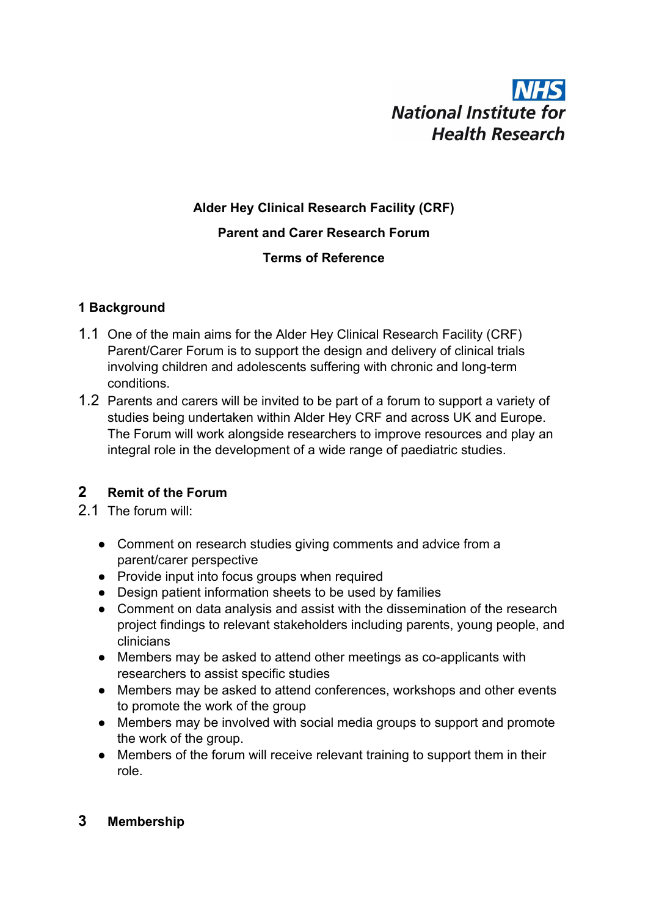# **NHS National Institute for Health Research**

## **Alder Hey Clinical Research Facility (CRF) Parent and Carer Research Forum Terms of Reference**

### **1 Background**

- 1.1 One of the main aims for the Alder Hey Clinical Research Facility (CRF) Parent/Carer Forum is to support the design and delivery of clinical trials involving children and adolescents suffering with chronic and long-term conditions.
- 1.2 Parents and carers will be invited to be part of a forum to support a variety of studies being undertaken within Alder Hey CRF and across UK and Europe. The Forum will work alongside researchers to improve resources and play an integral role in the development of a wide range of paediatric studies.

## **2 Remit of the Forum**

- 2.1 The forum will:
	- Comment on research studies giving comments and advice from a parent/carer perspective
	- Provide input into focus groups when required
	- Design patient information sheets to be used by families
	- Comment on data analysis and assist with the dissemination of the research project findings to relevant stakeholders including parents, young people, and clinicians
	- Members may be asked to attend other meetings as co-applicants with researchers to assist specific studies
	- Members may be asked to attend conferences, workshops and other events to promote the work of the group
	- Members may be involved with social media groups to support and promote the work of the group.
	- Members of the forum will receive relevant training to support them in their role.

## **3 Membership**